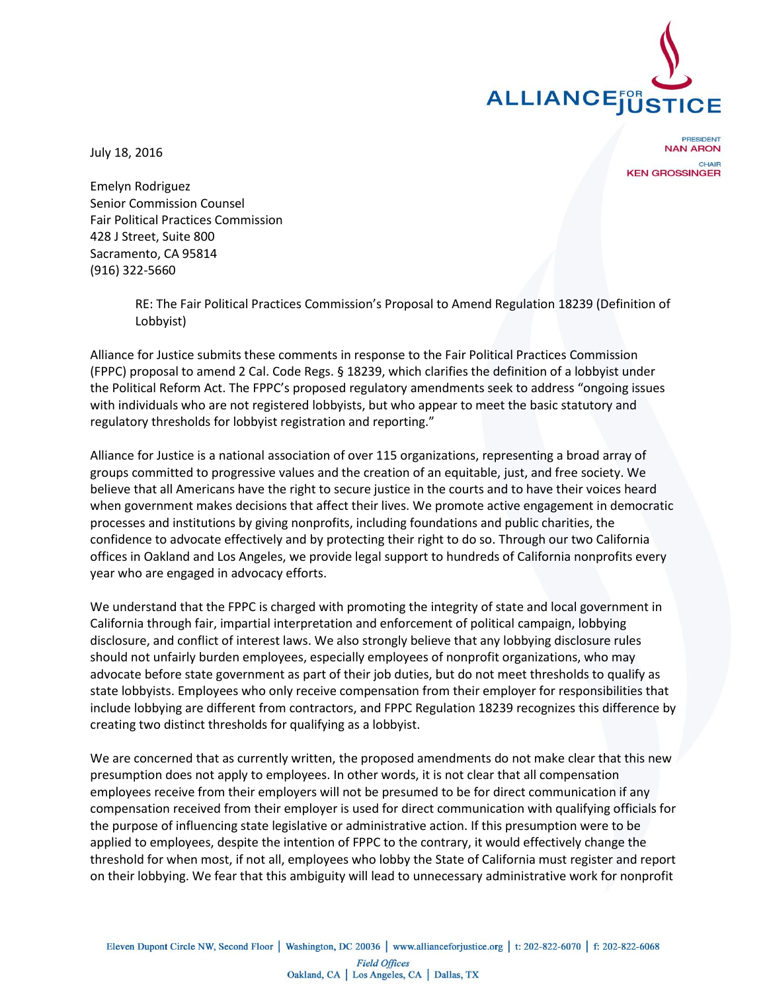

July 18, 2016

**RESIDENT NAN ARON** CHAIR **KEN GROSSINGER** 

Emelyn Rodriguez Senior Commission Counsel Fair Political Practices Commission 428 J Street, Suite 800 Sacramento, CA 95814 (916) 322-5660

> RE: The Fair Political Practices Commission's Proposal to Amend Regulation 18239 (Definition of Lobbyist)

Alliance for Justice submits these comments in response to the Fair Political Practices Commission (FPPC) proposal to amend 2 Cal. Code Regs. § 18239, which clarifies the definition of a lobbyist under the Political Reform Act. The FPPC's proposed regulatory amendments seek to address "ongoing issues with individuals who are not registered lobbyists, but who appear to meet the basic statutory and regulatory thresholds for lobbyist registration and reporting."

Alliance for Justice is a national association of over 115 organizations, representing a broad array of groups committed to progressive values and the creation of an equitable, just, and free society. We believe that all Americans have the right to secure justice in the courts and to have their voices heard when government makes decisions that affect their lives. We promote active engagement in democratic processes and institutions by giving nonprofits, including foundations and public charities, the confidence to advocate effectively and by protecting their right to do so. Through our two California offices in Oakland and Los Angeles, we provide legal support to hundreds of California nonprofits every year who are engaged in advocacy efforts.

We understand that the FPPC is charged with promoting the integrity of state and local government in California through fair, impartial interpretation and enforcement of political campaign, lobbying disclosure, and conflict of interest laws. We also strongly believe that any lobbying disclosure rules should not unfairly burden employees, especially employees of nonprofit organizations, who may advocate before state government as part of their job duties, but do not meet thresholds to qualify as state lobbyists. Employees who only receive compensation from their employer for responsibilities that include lobbying are different from contractors, and FPPC Regulation 18239 recognizes this difference by creating two distinct thresholds for qualifying as a lobbyist.

We are concerned that as currently written, the proposed amendments do not make clear that this new presumption does not apply to employees. In other words, it is not clear that all compensation employees receive from their employers will not be presumed to be for direct communication if any compensation received from their employer is used for direct communication with qualifying officials for the purpose of influencing state legislative or administrative action. If this presumption were to be applied to employees, despite the intention of FPPC to the contrary, it would effectively change the threshold for when most, if not all, employees who lobby the State of California must register and report on their lobbying. We fear that this ambiguity will lead to unnecessary administrative work for nonprofit